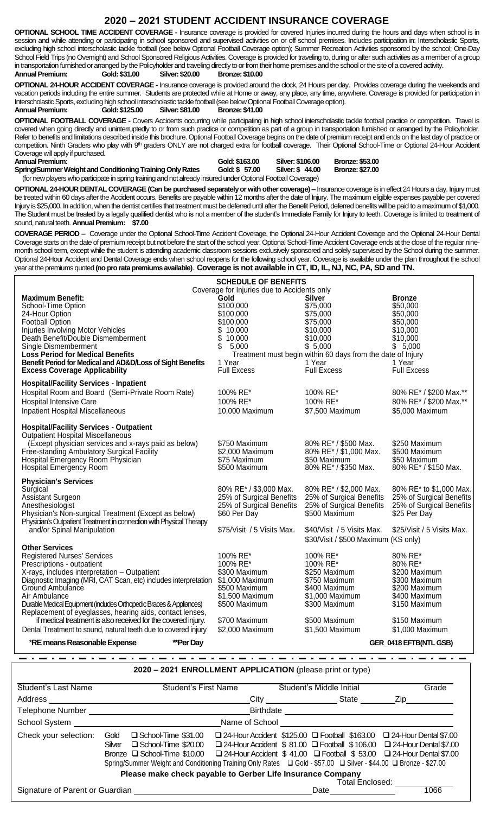## **2020 – 2021 STUDENT ACCIDENT INSURANCE COVERAGE**

**OPTIONAL SCHOOL TIME ACCIDENT COVERAGE -** Insurance coverage is provided for covered Injuries incurred during the hours and days when school is in session and while attending or participating in school sponsored and supervised activities on or off school premises. Includes participation in: Interscholastic Sports, excluding high school interscholastic tackle football (see below Optional Football Coverage option); Summer Recreation Activities sponsored by the school; One-Day School Field Trips (no Overnight) and School Sponsored Religious Activities. Coverage is provided for traveling to, during or after such activities as a member of a group in transportation furnished or arranged by the Policyholder and traveling directly to or from their home premises and the school or the site of a covered activity.<br>Annual Premium: Gold: \$31.00 Silver: \$20.00 Bronze: \$10.00 **Annual Premium: Gold: \$31.00 Silver: \$20.00 Bronze: \$10.00**

**OPTIONAL 24-HOUR ACCIDENT COVERAGE -** Insurance coverage is provided around the clock, 24 Hours per day. Provides coverage during the weekends and vacation periods including the entire summer. Students are protected while at Home or away, any place, any time, anywhere. Coverage is provided for participation in Interscholastic Sports, excluding high school interscholastic tackle football (see below Optional Football Coverage option). **Annual Premium: Gold: \$125.00 Silver: \$81.00 Bronze: \$41.00**

**OPTIONAL FOOTBALL COVERAGE -** Covers Accidents occurring while participating in high school interscholastic tackle football practice or competition. Travel is covered when going directly and uninterruptedly to or from such practice or competition as part of a group in transportation furnished or arranged by the Policyholder. Refer to benefits and limitations described inside this brochure. Optional Football Coverage begins on the date of premium receipt and ends on the last day of practice or competition. Ninth Graders who play with 9<sup>th</sup> graders ONLY are not charged extra for football coverage. Their Optional School-Time or Optional 24-Hour Accident Coverage will apply if purchased.

**Spring/Summer Weight and Conditioning Training Only Rates Gold: \$ 57.00 Silver: \$ 44.00 Bronze: \$27.00** (for new players who participate in spring training and not already insured under Optional Football Coverage)

**Annual Premium: Gold: \$163.00 Silver: \$106.00 Bronze: \$53.00**

**OPTIONAL 24-HOUR DENTAL COVERAGE (Can be purchased separately or with other coverage) –** Insurance coverage is in effect 24 Hours a day. Injury must be treated within 60 days after the Accident occurs. Benefits are payable within 12 months after the date of Injury. The maximum eligible expenses payable per covered Injury is \$25,000. In addition, when the dentist certifies that treatment must be deferred until after the Benefit Period, deferred benefits will be paid to a maximum of \$1,000. The Student must be treated by a legally qualified dentist who is not a member of the student's Immediate Family for Injury to teeth. Coverage is limited to treatment of sound, natural teeth. **Annual Premium: \$7.00**

**COVERAGE PERIOD –** Coverage under the Optional School-Time Accident Coverage, the Optional 24-Hour Accident Coverage and the Optional 24-Hour Dental Coverage starts on the date of premium receipt but not before the start of the school year. Optional School-Time Accident Coverage ends at the close of the regular ninemonth school term, except while the student is attending academic classroom sessions exclusively sponsored and solely supervised by the School during the summer. Optional 24-Hour Accident and Dental Coverage ends when school reopens for the following school year. Coverage is available under the plan throughout the school year at the premiums quoted **(no pro rata premiums available)**. **Coverage is not available in CT, ID, IL, NJ, NC, PA, SD and TN.**

| <b>SCHEDULE OF BENEFITS</b>                                                                                                                                                                                                                                                                                                                                                                                                                          |                                                                                                                                                                   |                                                                                                                                                                                     |                                                                                                                               |  |
|------------------------------------------------------------------------------------------------------------------------------------------------------------------------------------------------------------------------------------------------------------------------------------------------------------------------------------------------------------------------------------------------------------------------------------------------------|-------------------------------------------------------------------------------------------------------------------------------------------------------------------|-------------------------------------------------------------------------------------------------------------------------------------------------------------------------------------|-------------------------------------------------------------------------------------------------------------------------------|--|
| <b>Maximum Benefit:</b><br>School-Time Option<br>24-Hour Option<br>Football Option<br><b>Injuries Involving Motor Vehicles</b><br>Death Benefit/Double Dismemberment<br>Single Dismemberment<br><b>Loss Period for Medical Benefits</b><br>Benefit Period for Medical and AD&D/Loss of Sight Benefits<br><b>Excess Coverage Applicability</b>                                                                                                        | Coverage for Injuries due to Accidents only<br>Gold<br>\$100,000<br>\$100,000<br>\$100,000<br>\$10,000<br>\$10,000<br>\$<br>5,000<br>1 Year<br><b>Full Excess</b> | <b>Silver</b><br>\$75,000<br>\$75,000<br>\$75,000<br>\$10,000<br>\$10,000<br>\$5,000<br>Treatment must begin within 60 days from the date of Injury<br>1 Year<br><b>Full Excess</b> | <b>Bronze</b><br>\$50,000<br>\$50,000<br>\$50,000<br>\$10,000<br>\$10,000<br>\$5,000<br>1 Year<br><b>Full Excess</b>          |  |
| <b>Hospital/Facility Services - Inpatient</b><br>Hospital Room and Board (Semi-Private Room Rate)<br><b>Hospital Intensive Care</b><br><b>Inpatient Hospital Miscellaneous</b>                                                                                                                                                                                                                                                                       | 100% RE*<br>100% RE*<br>10,000 Maximum                                                                                                                            | 100% RE*<br>100% RE*<br>\$7,500 Maximum                                                                                                                                             | 80% RE* / \$200 Max.**<br>80% RE* / \$200 Max.**<br>\$5,000 Maximum                                                           |  |
| <b>Hospital/Facility Services - Outpatient</b><br><b>Outpatient Hospital Miscellaneous</b><br>(Except physician services and x-rays paid as below)<br>Free-standing Ambulatory Surgical Facility<br>Hospital Emergency Room Physician<br>Hospital Emergency Room                                                                                                                                                                                     | \$750 Maximum<br>\$2,000 Maximum<br>\$75 Maximum<br>\$500 Maximum                                                                                                 | 80% RE* / \$500 Max.<br>80% RE* / \$1,000 Max.<br>\$50 Maximum<br>80% RE* / \$350 Max.                                                                                              | \$250 Maximum<br>\$500 Maximum<br>\$50 Maximum<br>80% RE* / \$150 Max.                                                        |  |
| <b>Physician's Services</b><br>Surgical<br>Assistant Surgeon<br>Anesthesiologist<br>Physician's Non-surgical Treatment (Except as below)<br>Physician's Outpatient Treatment in connection with Physical Therapy<br>and/or Spinal Manipulation                                                                                                                                                                                                       | 80% RE* / \$3,000 Max.<br>25% of Surgical Benefits<br>25% of Surgical Benefits<br>\$60 Per Day<br>\$75/Visit / 5 Visits Max.                                      | 80% RE* / \$2,000 Max.<br>25% of Surgical Benefits<br>25% of Surgical Benefits<br>\$500 Maximum<br>\$40/Visit / 5 Visits Max.<br>\$30/Visit / \$500 Maximum (KS only)               | 80% RE* to \$1,000 Max.<br>25% of Surgical Benefits<br>25% of Surgical Benefits<br>\$25 Per Day<br>\$25/Visit / 5 Visits Max. |  |
| <b>Other Services</b><br><b>Registered Nurses' Services</b><br>Prescriptions - outpatient<br>X-rays, includes interpretation - Outpatient<br>Diagnostic Imaging (MRI, CAT Scan, etc) includes interpretation<br>Ground Ambulance<br>Air Ambulance<br>Durable Medical Equipment (indudes Orthopedic Braces & Appliances)<br>Replacement of eyeglasses, hearing aids, contact lenses,<br>if medical treatment is also received for the covered injury. | 100% RE*<br>100% RE*<br>\$300 Maximum<br>\$1,000 Maximum<br>\$500 Maximum<br>\$1,500 Maximum<br>\$500 Maximum                                                     | 100% RE*<br>100% RE*<br>\$250 Maximum<br>\$750 Maximum<br>\$400 Maximum<br>\$1,000 Maximum<br>\$300 Maximum                                                                         | 80% RE*<br>80% RE*<br>\$200 Maximum<br>\$300 Maximum<br>\$200 Maximum<br>\$400 Maximum<br>\$150 Maximum                       |  |
| Dental Treatment to sound, natural teeth due to covered injury<br>*RE means Reasonable Expense<br>**Per Day                                                                                                                                                                                                                                                                                                                                          | \$700 Maximum<br>\$2,000 Maximum                                                                                                                                  | \$500 Maximum<br>\$1,500 Maximum                                                                                                                                                    | \$150 Maximum<br>\$1,000 Maximum<br>GER_0418 EFTB(NTL GSB)                                                                    |  |

**2020 – 2021 ENROLLMENT APPLICATION** (please print or type)

| Student's Last Name                                                                                                                                                                                                            |                | <b>Student's First Name</b>                                                                                                                                                                                                                                                                                                             |  |  | Student's Middle Initial |            |                 |      | Grade                                                                                                                                               |
|--------------------------------------------------------------------------------------------------------------------------------------------------------------------------------------------------------------------------------|----------------|-----------------------------------------------------------------------------------------------------------------------------------------------------------------------------------------------------------------------------------------------------------------------------------------------------------------------------------------|--|--|--------------------------|------------|-----------------|------|-----------------------------------------------------------------------------------------------------------------------------------------------------|
| Address                                                                                                                                                                                                                        |                |                                                                                                                                                                                                                                                                                                                                         |  |  |                          | City State |                 | Zip  |                                                                                                                                                     |
| Telephone Number                                                                                                                                                                                                               | Birthdate      |                                                                                                                                                                                                                                                                                                                                         |  |  |                          |            |                 |      |                                                                                                                                                     |
| School System and the state of the state of the state of the state of the state of the state of the state of the state of the state of the state of the state of the state of the state of the state of the state of the state | Name of School |                                                                                                                                                                                                                                                                                                                                         |  |  |                          |            |                 |      |                                                                                                                                                     |
| Check your selection:                                                                                                                                                                                                          | Gold<br>Silver | School-Time \$31.00<br>□ School-Time \$20.00<br>Bronze □ School-Time \$10.00 □ 24-Hour Accident \$ 41.00 □ Football \$ 53.00 □ 24-Hour Dental \$7.00<br>Spring/Summer Weight and Conditioning Training Only Rates  □ Gold - \$57.00 □ Silver - \$44.00 □ Bronze - \$27.00<br>Please make check payable to Gerber Life Insurance Company |  |  |                          |            | Total Enclosed: |      | □ 24-Hour Accident \$125.00 □ Football \$163.00 □ 24-Hour Dental \$7.00<br>□ 24-Hour Accident \$ 81.00 □ Football \$ 106.00 □ 24-Hour Dental \$7.00 |
| Signature of Parent or Guardian                                                                                                                                                                                                |                |                                                                                                                                                                                                                                                                                                                                         |  |  | Date                     |            |                 | 1066 |                                                                                                                                                     |